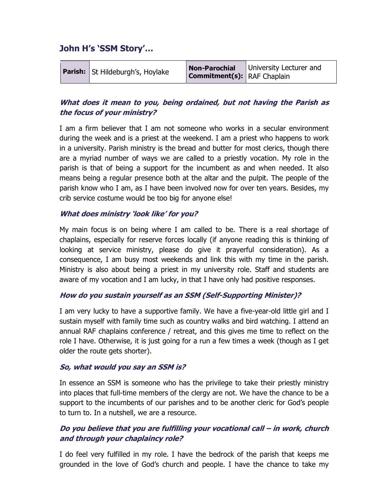# John H's 'SSM Story'…

| <b>Parish:</b> St Hildeburgh's, Hoylake | <b>Non-Parochial</b><br><b>Commitment(s):</b> RAF Chaplain | University Lecturer and |
|-----------------------------------------|------------------------------------------------------------|-------------------------|
|-----------------------------------------|------------------------------------------------------------|-------------------------|

## What does it mean to you, being ordained, but not having the Parish as the focus of your ministry?

I am a firm believer that I am not someone who works in a secular environment during the week and is a priest at the weekend. I am a priest who happens to work in a university. Parish ministry is the bread and butter for most clerics, though there are a myriad number of ways we are called to a priestly vocation. My role in the parish is that of being a support for the incumbent as and when needed. It also means being a regular presence both at the altar and the pulpit. The people of the parish know who I am, as I have been involved now for over ten years. Besides, my crib service costume would be too big for anyone else!

#### What does ministry 'look like' for you?

My main focus is on being where I am called to be. There is a real shortage of chaplains, especially for reserve forces locally (if anyone reading this is thinking of looking at service ministry, please do give it prayerful consideration). As a consequence, I am busy most weekends and link this with my time in the parish. Ministry is also about being a priest in my university role. Staff and students are aware of my vocation and I am lucky, in that I have only had positive responses.

#### How do you sustain yourself as an SSM (Self-Supporting Minister)?

I am very lucky to have a supportive family. We have a five-year-old little girl and I sustain myself with family time such as country walks and bird watching. I attend an annual RAF chaplains conference / retreat, and this gives me time to reflect on the role I have. Otherwise, it is just going for a run a few times a week (though as I get older the route gets shorter).

#### So, what would you say an SSM is?

In essence an SSM is someone who has the privilege to take their priestly ministry into places that full-time members of the clergy are not. We have the chance to be a support to the incumbents of our parishes and to be another cleric for God's people to turn to. In a nutshell, we are a resource.

### Do you believe that you are fulfilling your vocational call – in work, church and through your chaplaincy role?

I do feel very fulfilled in my role. I have the bedrock of the parish that keeps me grounded in the love of God's church and people. I have the chance to take my